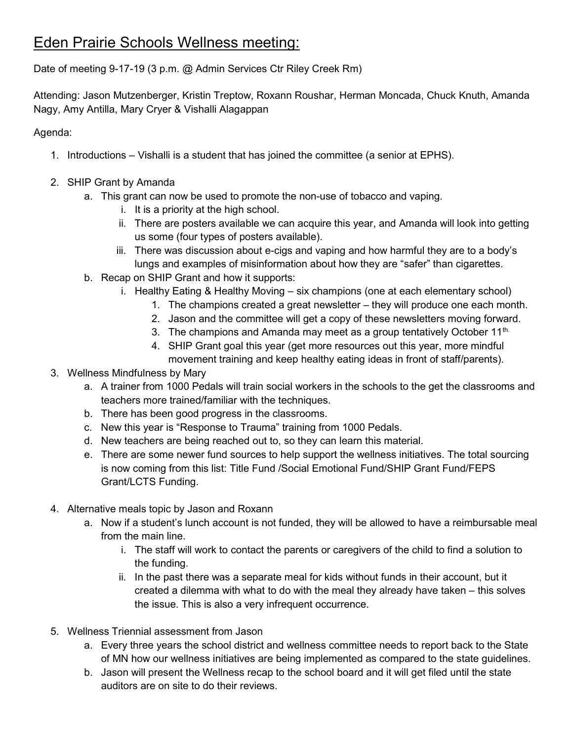## Eden Prairie Schools Wellness meeting:

Date of meeting 9-17-19 (3 p.m. @ Admin Services Ctr Riley Creek Rm)

Attending: Jason Mutzenberger, Kristin Treptow, Roxann Roushar, Herman Moncada, Chuck Knuth, Amanda Nagy, Amy Antilla, Mary Cryer & Vishalli Alagappan

Agenda:

- 1. Introductions Vishalli is a student that has joined the committee (a senior at EPHS).
- 2. SHIP Grant by Amanda
	- a. This grant can now be used to promote the non-use of tobacco and vaping.
		- i. It is a priority at the high school.
		- ii. There are posters available we can acquire this year, and Amanda will look into getting us some (four types of posters available).
		- iii. There was discussion about e-cigs and vaping and how harmful they are to a body's lungs and examples of misinformation about how they are "safer" than cigarettes.
	- b. Recap on SHIP Grant and how it supports:
		- i. Healthy Eating & Healthy Moving six champions (one at each elementary school)
			- 1. The champions created a great newsletter they will produce one each month.
			- 2. Jason and the committee will get a copy of these newsletters moving forward.
			- 3. The champions and Amanda may meet as a group tentatively October 11<sup>th.</sup>
			- 4. SHIP Grant goal this year (get more resources out this year, more mindful movement training and keep healthy eating ideas in front of staff/parents).

## 3. Wellness Mindfulness by Mary

- a. A trainer from 1000 Pedals will train social workers in the schools to the get the classrooms and teachers more trained/familiar with the techniques.
- b. There has been good progress in the classrooms.
- c. New this year is "Response to Trauma" training from 1000 Pedals.
- d. New teachers are being reached out to, so they can learn this material.
- e. There are some newer fund sources to help support the wellness initiatives. The total sourcing is now coming from this list: Title Fund /Social Emotional Fund/SHIP Grant Fund/FEPS Grant/LCTS Funding.
- 4. Alternative meals topic by Jason and Roxann
	- a. Now if a student's lunch account is not funded, they will be allowed to have a reimbursable meal from the main line.
		- i. The staff will work to contact the parents or caregivers of the child to find a solution to the funding.
		- ii. In the past there was a separate meal for kids without funds in their account, but it created a dilemma with what to do with the meal they already have taken – this solves the issue. This is also a very infrequent occurrence.
- 5. Wellness Triennial assessment from Jason
	- a. Every three years the school district and wellness committee needs to report back to the State of MN how our wellness initiatives are being implemented as compared to the state guidelines.
	- b. Jason will present the Wellness recap to the school board and it will get filed until the state auditors are on site to do their reviews.